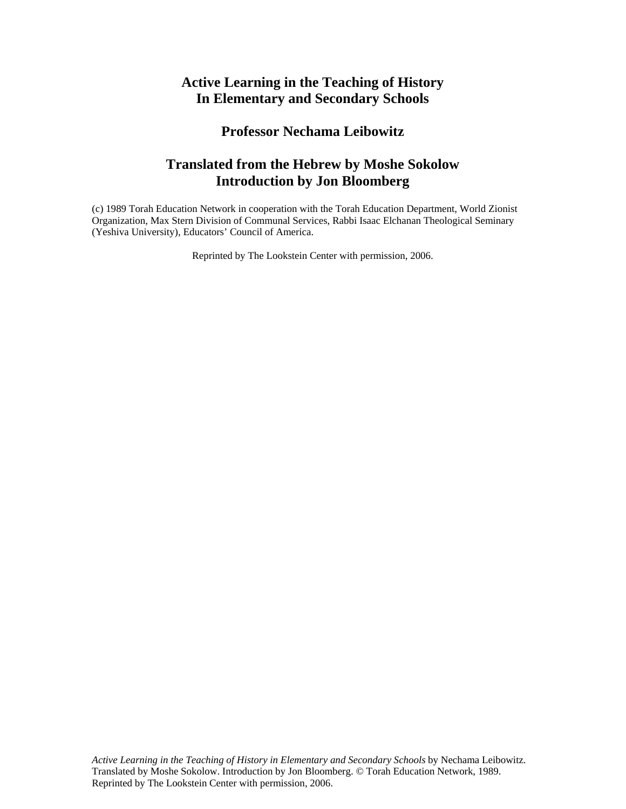# **Active Learning in the Teaching of History In Elementary and Secondary Schools**

## **Professor Nechama Leibowitz**

# **Translated from the Hebrew by Moshe Sokolow Introduction by Jon Bloomberg**

(c) 1989 Torah Education Network in cooperation with the Torah Education Department, World Zionist Organization, Max Stern Division of Communal Services, Rabbi Isaac Elchanan Theological Seminary (Yeshiva University), Educators' Council of America.

Reprinted by The Lookstein Center with permission, 2006.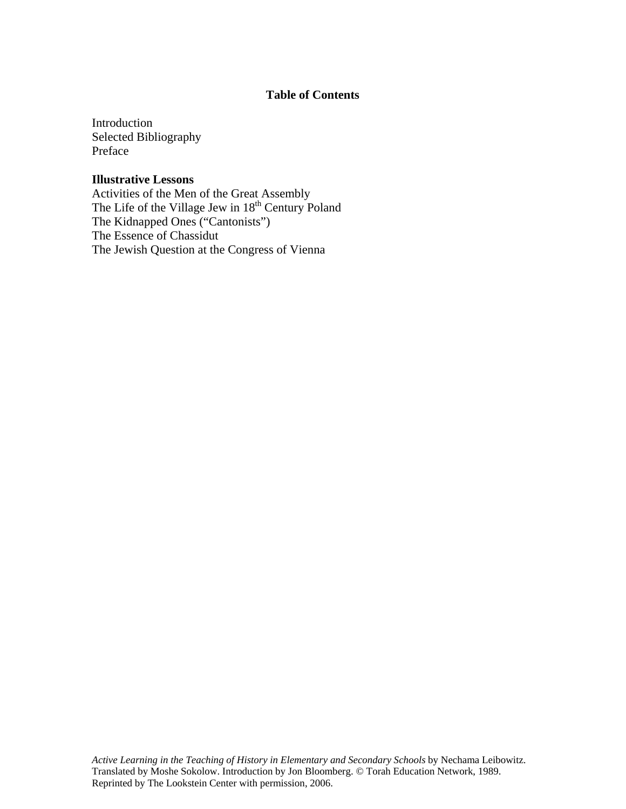### **Table of Contents**

Introduction Selected Bibliography Preface

### **Illustrative Lessons**

Activities of the Men of the Great Assembly The Life of the Village Jew in 18<sup>th</sup> Century Poland The Kidnapped Ones ("Cantonists") The Essence of Chassidut The Jewish Question at the Congress of Vienna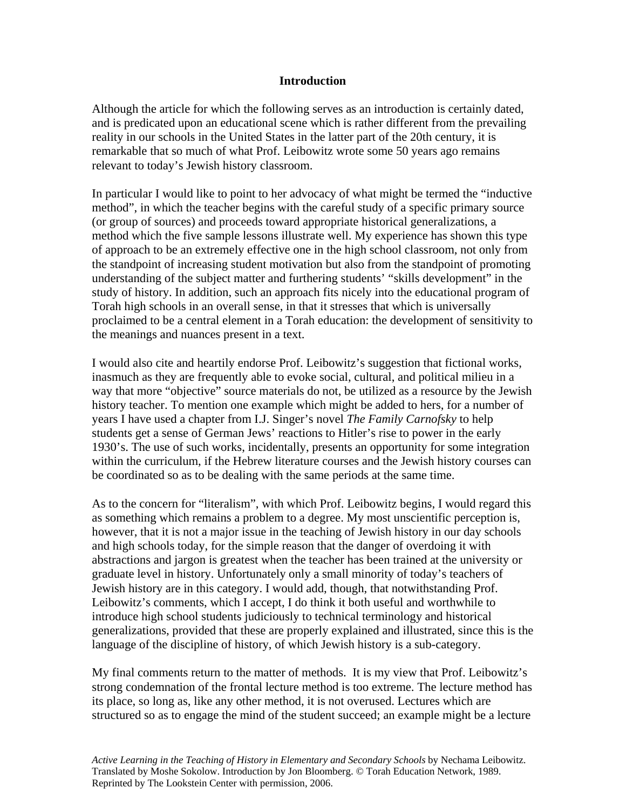### **Introduction**

Although the article for which the following serves as an introduction is certainly dated, and is predicated upon an educational scene which is rather different from the prevailing reality in our schools in the United States in the latter part of the 20th century, it is remarkable that so much of what Prof. Leibowitz wrote some 50 years ago remains relevant to today's Jewish history classroom.

In particular I would like to point to her advocacy of what might be termed the "inductive method", in which the teacher begins with the careful study of a specific primary source (or group of sources) and proceeds toward appropriate historical generalizations, a method which the five sample lessons illustrate well. My experience has shown this type of approach to be an extremely effective one in the high school classroom, not only from the standpoint of increasing student motivation but also from the standpoint of promoting understanding of the subject matter and furthering students' "skills development" in the study of history. In addition, such an approach fits nicely into the educational program of Torah high schools in an overall sense, in that it stresses that which is universally proclaimed to be a central element in a Torah education: the development of sensitivity to the meanings and nuances present in a text.

I would also cite and heartily endorse Prof. Leibowitz's suggestion that fictional works, inasmuch as they are frequently able to evoke social, cultural, and political milieu in a way that more "objective" source materials do not, be utilized as a resource by the Jewish history teacher. To mention one example which might be added to hers, for a number of years I have used a chapter from I.J. Singer's novel *The Family Carnofsky* to help students get a sense of German Jews' reactions to Hitler's rise to power in the early 1930's. The use of such works, incidentally, presents an opportunity for some integration within the curriculum, if the Hebrew literature courses and the Jewish history courses can be coordinated so as to be dealing with the same periods at the same time.

As to the concern for "literalism", with which Prof. Leibowitz begins, I would regard this as something which remains a problem to a degree. My most unscientific perception is, however, that it is not a major issue in the teaching of Jewish history in our day schools and high schools today, for the simple reason that the danger of overdoing it with abstractions and jargon is greatest when the teacher has been trained at the university or graduate level in history. Unfortunately only a small minority of today's teachers of Jewish history are in this category. I would add, though, that notwithstanding Prof. Leibowitz's comments, which I accept, I do think it both useful and worthwhile to introduce high school students judiciously to technical terminology and historical generalizations, provided that these are properly explained and illustrated, since this is the language of the discipline of history, of which Jewish history is a sub-category.

My final comments return to the matter of methods. It is my view that Prof. Leibowitz's strong condemnation of the frontal lecture method is too extreme. The lecture method has its place, so long as, like any other method, it is not overused. Lectures which are structured so as to engage the mind of the student succeed; an example might be a lecture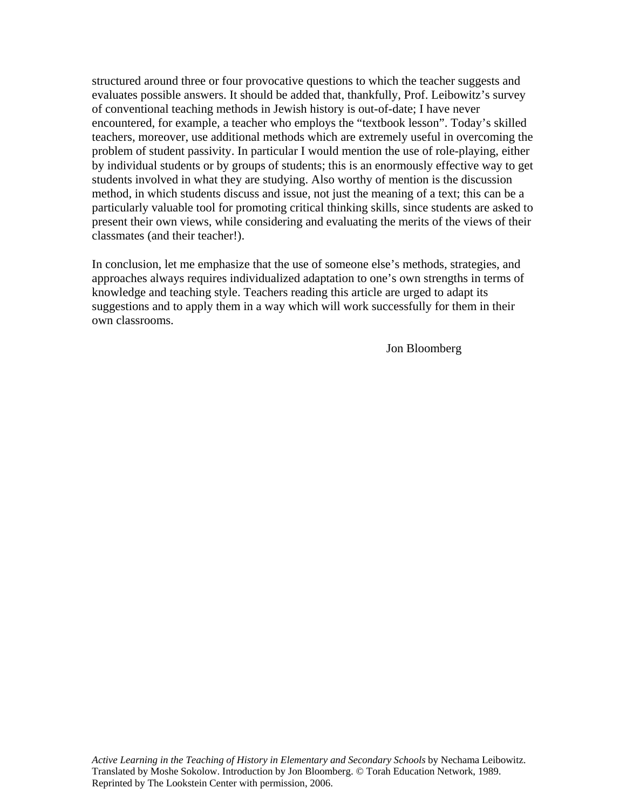structured around three or four provocative questions to which the teacher suggests and evaluates possible answers. It should be added that, thankfully, Prof. Leibowitz's survey of conventional teaching methods in Jewish history is out-of-date; I have never encountered, for example, a teacher who employs the "textbook lesson". Today's skilled teachers, moreover, use additional methods which are extremely useful in overcoming the problem of student passivity. In particular I would mention the use of role-playing, either by individual students or by groups of students; this is an enormously effective way to get students involved in what they are studying. Also worthy of mention is the discussion method, in which students discuss and issue, not just the meaning of a text; this can be a particularly valuable tool for promoting critical thinking skills, since students are asked to present their own views, while considering and evaluating the merits of the views of their classmates (and their teacher!).

In conclusion, let me emphasize that the use of someone else's methods, strategies, and approaches always requires individualized adaptation to one's own strengths in terms of knowledge and teaching style. Teachers reading this article are urged to adapt its suggestions and to apply them in a way which will work successfully for them in their own classrooms.

Jon Bloomberg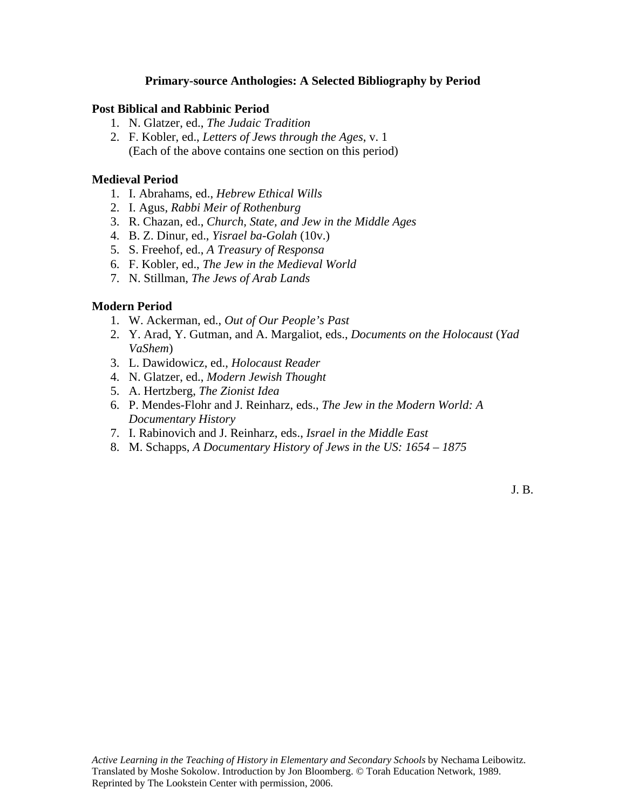### **Primary-source Anthologies: A Selected Bibliography by Period**

### **Post Biblical and Rabbinic Period**

- 1. N. Glatzer, ed., *The Judaic Tradition*
- 2. F. Kobler, ed., *Letters of Jews through the Ages*, v. 1 (Each of the above contains one section on this period)

#### **Medieval Period**

- 1. I. Abrahams, ed., *Hebrew Ethical Wills*
- 2. I. Agus, *Rabbi Meir of Rothenburg*
- 3. R. Chazan, ed., *Church, State, and Jew in the Middle Ages*
- 4. B. Z. Dinur, ed., *Yisrael ba-Golah* (10v.)
- 5. S. Freehof, ed., *A Treasury of Responsa*
- 6. F. Kobler, ed., *The Jew in the Medieval World*
- 7. N. Stillman, *The Jews of Arab Lands*

#### **Modern Period**

- 1. W. Ackerman, ed., *Out of Our People's Past*
- 2. Y. Arad, Y. Gutman, and A. Margaliot, eds., *Documents on the Holocaust* (*Yad VaShem*)
- 3. L. Dawidowicz, ed., *Holocaust Reader*
- 4. N. Glatzer, ed., *Modern Jewish Thought*
- 5. A. Hertzberg, *The Zionist Idea*
- 6. P. Mendes-Flohr and J. Reinharz, eds., *The Jew in the Modern World: A Documentary History*
- 7. I. Rabinovich and J. Reinharz, eds., *Israel in the Middle East*
- 8. M. Schapps, *A Documentary History of Jews in the US: 1654 1875*

J. B.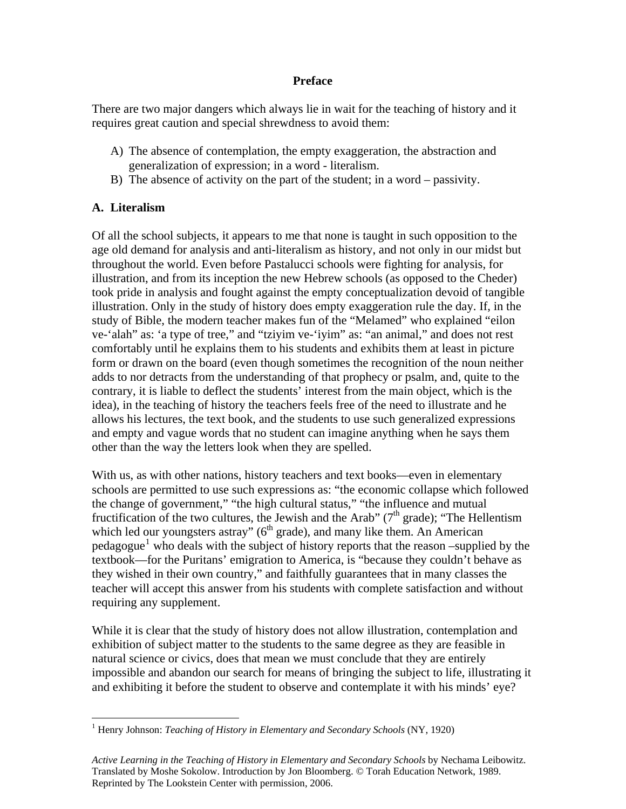### **Preface**

There are two major dangers which always lie in wait for the teaching of history and it requires great caution and special shrewdness to avoid them:

- A) The absence of contemplation, the empty exaggeration, the abstraction and generalization of expression; in a word - literalism.
- B) The absence of activity on the part of the student; in a word passivity.

## **A. Literalism**

Of all the school subjects, it appears to me that none is taught in such opposition to the age old demand for analysis and anti-literalism as history, and not only in our midst but throughout the world. Even before Pastalucci schools were fighting for analysis, for illustration, and from its inception the new Hebrew schools (as opposed to the Cheder) took pride in analysis and fought against the empty conceptualization devoid of tangible illustration. Only in the study of history does empty exaggeration rule the day. If, in the study of Bible, the modern teacher makes fun of the "Melamed" who explained "eilon ve-'alah" as: 'a type of tree," and "tziyim ve-'iyim" as: "an animal," and does not rest comfortably until he explains them to his students and exhibits them at least in picture form or drawn on the board (even though sometimes the recognition of the noun neither adds to nor detracts from the understanding of that prophecy or psalm, and, quite to the contrary, it is liable to deflect the students' interest from the main object, which is the idea), in the teaching of history the teachers feels free of the need to illustrate and he allows his lectures, the text book, and the students to use such generalized expressions and empty and vague words that no student can imagine anything when he says them other than the way the letters look when they are spelled.

With us, as with other nations, history teachers and text books—even in elementary schools are permitted to use such expressions as: "the economic collapse which followed the change of government," "the high cultural status," "the influence and mutual fructification of the two cultures, the Jewish and the Arab" ( $7<sup>th</sup>$  grade); "The Hellentism which led our youngsters astray"  $(6<sup>th</sup> grade)$ , and many like them. An American  $pedagogue<sup>1</sup>$  $pedagogue<sup>1</sup>$  $pedagogue<sup>1</sup>$  who deals with the subject of history reports that the reason –supplied by the textbook—for the Puritans' emigration to America, is "because they couldn't behave as they wished in their own country," and faithfully guarantees that in many classes the teacher will accept this answer from his students with complete satisfaction and without requiring any supplement.

While it is clear that the study of history does not allow illustration, contemplation and exhibition of subject matter to the students to the same degree as they are feasible in natural science or civics, does that mean we must conclude that they are entirely impossible and abandon our search for means of bringing the subject to life, illustrating it and exhibiting it before the student to observe and contemplate it with his minds' eye?

<span id="page-5-0"></span> $\overline{a}$ <sup>1</sup> Henry Johnson: *Teaching of History in Elementary and Secondary Schools* (NY, 1920)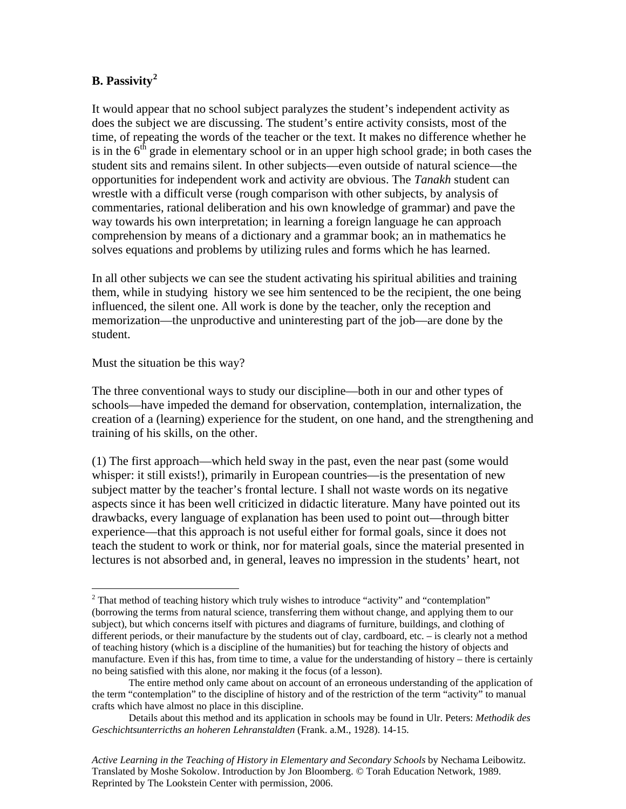### **B. Passivity[2](#page-6-0)**

It would appear that no school subject paralyzes the student's independent activity as does the subject we are discussing. The student's entire activity consists, most of the time, of repeating the words of the teacher or the text. It makes no difference whether he is in the  $6<sup>th</sup>$  grade in elementary school or in an upper high school grade; in both cases the student sits and remains silent. In other subjects—even outside of natural science—the opportunities for independent work and activity are obvious. The *Tanakh* student can wrestle with a difficult verse (rough comparison with other subjects, by analysis of commentaries, rational deliberation and his own knowledge of grammar) and pave the way towards his own interpretation; in learning a foreign language he can approach comprehension by means of a dictionary and a grammar book; an in mathematics he solves equations and problems by utilizing rules and forms which he has learned.

In all other subjects we can see the student activating his spiritual abilities and training them, while in studying history we see him sentenced to be the recipient, the one being influenced, the silent one. All work is done by the teacher, only the reception and memorization—the unproductive and uninteresting part of the job—are done by the student.

Must the situation be this way?

 $\overline{a}$ 

The three conventional ways to study our discipline—both in our and other types of schools—have impeded the demand for observation, contemplation, internalization, the creation of a (learning) experience for the student, on one hand, and the strengthening and training of his skills, on the other.

(1) The first approach—which held sway in the past, even the near past (some would whisper: it still exists!), primarily in European countries—is the presentation of new subject matter by the teacher's frontal lecture. I shall not waste words on its negative aspects since it has been well criticized in didactic literature. Many have pointed out its drawbacks, every language of explanation has been used to point out—through bitter experience—that this approach is not useful either for formal goals, since it does not teach the student to work or think, nor for material goals, since the material presented in lectures is not absorbed and, in general, leaves no impression in the students' heart, not

<span id="page-6-0"></span> $2^2$  That method of teaching history which truly wishes to introduce "activity" and "contemplation" (borrowing the terms from natural science, transferring them without change, and applying them to our subject), but which concerns itself with pictures and diagrams of furniture, buildings, and clothing of different periods, or their manufacture by the students out of clay, cardboard, etc. – is clearly not a method of teaching history (which is a discipline of the humanities) but for teaching the history of objects and manufacture. Even if this has, from time to time, a value for the understanding of history – there is certainly no being satisfied with this alone, nor making it the focus (of a lesson).

The entire method only came about on account of an erroneous understanding of the application of the term "contemplation" to the discipline of history and of the restriction of the term "activity" to manual crafts which have almost no place in this discipline.

Details about this method and its application in schools may be found in Ulr. Peters: *Methodik des Geschichtsunterricths an hoheren Lehranstaldten* (Frank. a.M., 1928). 14-15.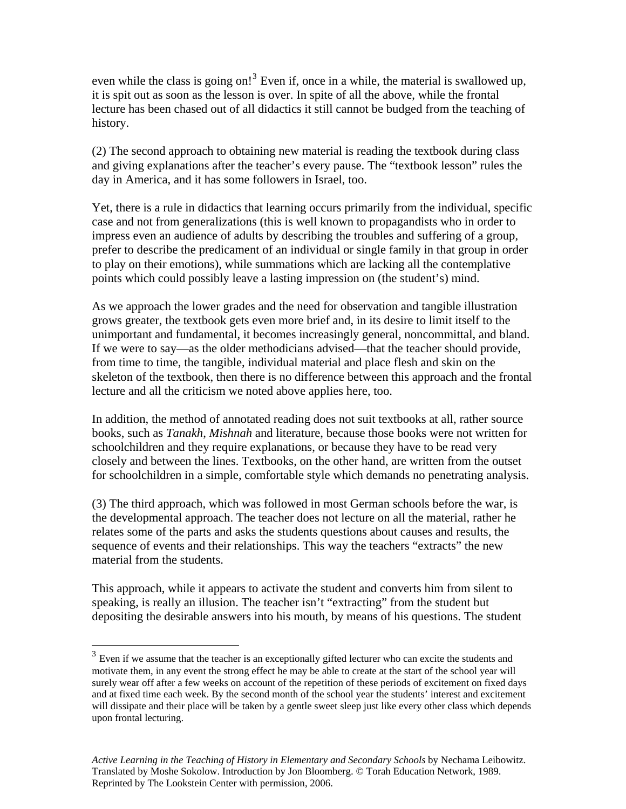even while the class is going on!<sup>[3](#page-7-0)</sup> Even if, once in a while, the material is swallowed up, it is spit out as soon as the lesson is over. In spite of all the above, while the frontal lecture has been chased out of all didactics it still cannot be budged from the teaching of history.

(2) The second approach to obtaining new material is reading the textbook during class and giving explanations after the teacher's every pause. The "textbook lesson" rules the day in America, and it has some followers in Israel, too.

Yet, there is a rule in didactics that learning occurs primarily from the individual, specific case and not from generalizations (this is well known to propagandists who in order to impress even an audience of adults by describing the troubles and suffering of a group, prefer to describe the predicament of an individual or single family in that group in order to play on their emotions), while summations which are lacking all the contemplative points which could possibly leave a lasting impression on (the student's) mind.

As we approach the lower grades and the need for observation and tangible illustration grows greater, the textbook gets even more brief and, in its desire to limit itself to the unimportant and fundamental, it becomes increasingly general, noncommittal, and bland. If we were to say—as the older methodicians advised—that the teacher should provide, from time to time, the tangible, individual material and place flesh and skin on the skeleton of the textbook, then there is no difference between this approach and the frontal lecture and all the criticism we noted above applies here, too.

In addition, the method of annotated reading does not suit textbooks at all, rather source books, such as *Tanakh*, *Mishnah* and literature, because those books were not written for schoolchildren and they require explanations, or because they have to be read very closely and between the lines. Textbooks, on the other hand, are written from the outset for schoolchildren in a simple, comfortable style which demands no penetrating analysis.

(3) The third approach, which was followed in most German schools before the war, is the developmental approach. The teacher does not lecture on all the material, rather he relates some of the parts and asks the students questions about causes and results, the sequence of events and their relationships. This way the teachers "extracts" the new material from the students.

This approach, while it appears to activate the student and converts him from silent to speaking, is really an illusion. The teacher isn't "extracting" from the student but depositing the desirable answers into his mouth, by means of his questions. The student

 $\overline{a}$ 

<span id="page-7-0"></span><sup>&</sup>lt;sup>3</sup> Even if we assume that the teacher is an exceptionally gifted lecturer who can excite the students and motivate them, in any event the strong effect he may be able to create at the start of the school year will surely wear off after a few weeks on account of the repetition of these periods of excitement on fixed days and at fixed time each week. By the second month of the school year the students' interest and excitement will dissipate and their place will be taken by a gentle sweet sleep just like every other class which depends upon frontal lecturing.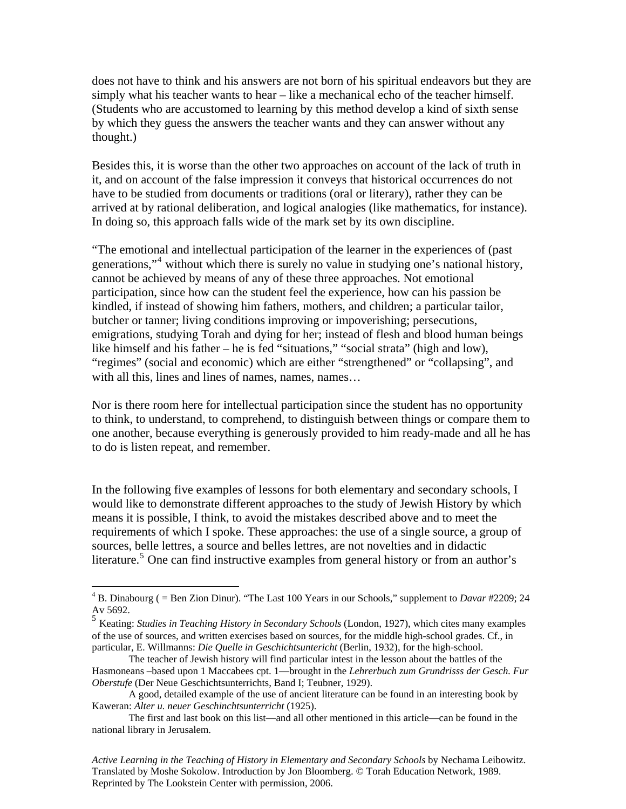does not have to think and his answers are not born of his spiritual endeavors but they are simply what his teacher wants to hear – like a mechanical echo of the teacher himself. (Students who are accustomed to learning by this method develop a kind of sixth sense by which they guess the answers the teacher wants and they can answer without any thought.)

Besides this, it is worse than the other two approaches on account of the lack of truth in it, and on account of the false impression it conveys that historical occurrences do not have to be studied from documents or traditions (oral or literary), rather they can be arrived at by rational deliberation, and logical analogies (like mathematics, for instance). In doing so, this approach falls wide of the mark set by its own discipline.

"The emotional and intellectual participation of the learner in the experiences of (past generations,"<sup>[4](#page-8-0)</sup> without which there is surely no value in studying one's national history, cannot be achieved by means of any of these three approaches. Not emotional participation, since how can the student feel the experience, how can his passion be kindled, if instead of showing him fathers, mothers, and children; a particular tailor, butcher or tanner; living conditions improving or impoverishing; persecutions, emigrations, studying Torah and dying for her; instead of flesh and blood human beings like himself and his father – he is fed "situations," "social strata" (high and low), "regimes" (social and economic) which are either "strengthened" or "collapsing", and with all this, lines and lines of names, names, names...

Nor is there room here for intellectual participation since the student has no opportunity to think, to understand, to comprehend, to distinguish between things or compare them to one another, because everything is generously provided to him ready-made and all he has to do is listen repeat, and remember.

In the following five examples of lessons for both elementary and secondary schools, I would like to demonstrate different approaches to the study of Jewish History by which means it is possible, I think, to avoid the mistakes described above and to meet the requirements of which I spoke. These approaches: the use of a single source, a group of sources, belle lettres, a source and belles lettres, are not novelties and in didactic literature.<sup>[5](#page-8-1)</sup> One can find instructive examples from general history or from an author's

 $\overline{a}$ 

<span id="page-8-0"></span><sup>&</sup>lt;sup>4</sup> B. Dinabourg ( = Ben Zion Dinur). "The Last 100 Years in our Schools," supplement to *Davar* #2209; 24 Av 5692.

<span id="page-8-1"></span><sup>5</sup> Keating: *Studies in Teaching History in Secondary Schools* (London, 1927), which cites many examples of the use of sources, and written exercises based on sources, for the middle high-school grades. Cf., in particular, E. Willmanns: *Die Quelle in Geschichtsuntericht* (Berlin, 1932), for the high-school.

The teacher of Jewish history will find particular intest in the lesson about the battles of the Hasmoneans –based upon 1 Maccabees cpt. 1—brought in the *Lehrerbuch zum Grundrisss der Gesch. Fur Oberstufe* (Der Neue Geschichtsunterrichts, Band I; Teubner, 1929).

A good, detailed example of the use of ancient literature can be found in an interesting book by Kaweran: *Alter u. neuer Geschinchtsunterricht* (1925).

The first and last book on this list—and all other mentioned in this article—can be found in the national library in Jerusalem.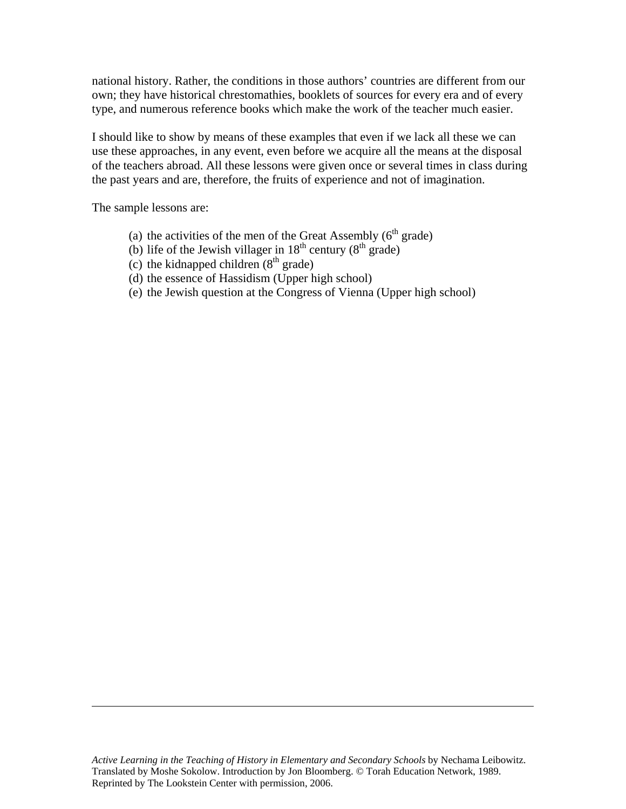national history. Rather, the conditions in those authors' countries are different from our own; they have historical chrestomathies, booklets of sources for every era and of every type, and numerous reference books which make the work of the teacher much easier.

I should like to show by means of these examples that even if we lack all these we can use these approaches, in any event, even before we acquire all the means at the disposal of the teachers abroad. All these lessons were given once or several times in class during the past years and are, therefore, the fruits of experience and not of imagination.

The sample lessons are:

 $\overline{a}$ 

- (a) the activities of the men of the Great Assembly  $(6<sup>th</sup> grade)$
- (b) life of the Jewish villager in  $18<sup>th</sup>$  century  $(8<sup>th</sup> \text{ grade})$
- (c) the kidnapped children  $(8<sup>th</sup> grade)$
- (d) the essence of Hassidism (Upper high school)
- (e) the Jewish question at the Congress of Vienna (Upper high school)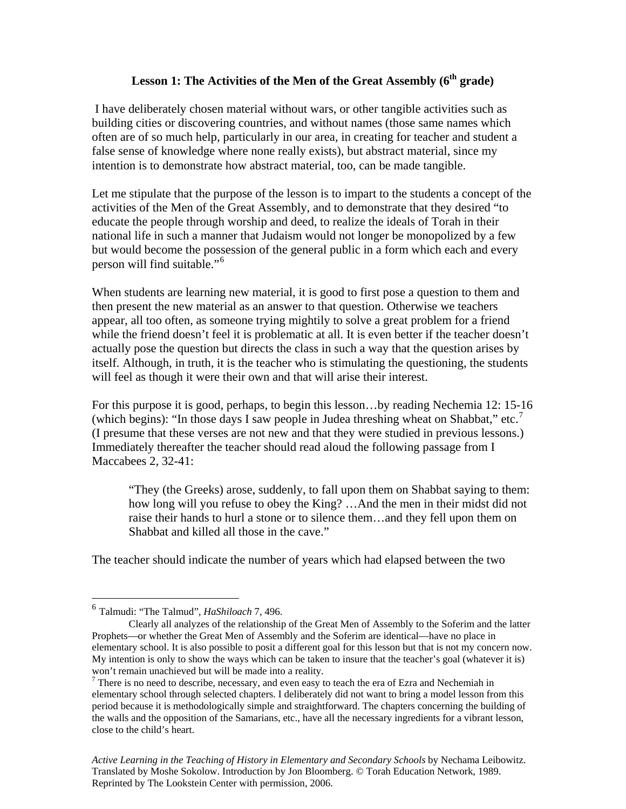# **Lesson 1: The Activities of the Men of the Great Assembly (6<sup>th</sup> grade)**

 I have deliberately chosen material without wars, or other tangible activities such as building cities or discovering countries, and without names (those same names which often are of so much help, particularly in our area, in creating for teacher and student a false sense of knowledge where none really exists), but abstract material, since my intention is to demonstrate how abstract material, too, can be made tangible.

Let me stipulate that the purpose of the lesson is to impart to the students a concept of the activities of the Men of the Great Assembly, and to demonstrate that they desired "to educate the people through worship and deed, to realize the ideals of Torah in their national life in such a manner that Judaism would not longer be monopolized by a few but would become the possession of the general public in a form which each and every person will find suitable."[6](#page-10-0)

When students are learning new material, it is good to first pose a question to them and then present the new material as an answer to that question. Otherwise we teachers appear, all too often, as someone trying mightily to solve a great problem for a friend while the friend doesn't feel it is problematic at all. It is even better if the teacher doesn't actually pose the question but directs the class in such a way that the question arises by itself. Although, in truth, it is the teacher who is stimulating the questioning, the students will feel as though it were their own and that will arise their interest.

For this purpose it is good, perhaps, to begin this lesson…by reading Nechemia 12: 15-16 (which begins): "In those days I saw people in Judea threshing wheat on Shabbat," etc.<sup>[7](#page-10-1)</sup> (I presume that these verses are not new and that they were studied in previous lessons.) Immediately thereafter the teacher should read aloud the following passage from I Maccabees 2, 32-41:

"They (the Greeks) arose, suddenly, to fall upon them on Shabbat saying to them: how long will you refuse to obey the King? …And the men in their midst did not raise their hands to hurl a stone or to silence them…and they fell upon them on Shabbat and killed all those in the cave."

The teacher should indicate the number of years which had elapsed between the two

 $\overline{a}$ 

<span id="page-10-0"></span><sup>6</sup> Talmudi: "The Talmud", *HaShiloach* 7, 496.

Clearly all analyzes of the relationship of the Great Men of Assembly to the Soferim and the latter Prophets—or whether the Great Men of Assembly and the Soferim are identical—have no place in elementary school. It is also possible to posit a different goal for this lesson but that is not my concern now. My intention is only to show the ways which can be taken to insure that the teacher's goal (whatever it is) won't remain unachieved but will be made into a reality.

<span id="page-10-1"></span> $<sup>7</sup>$  There is no need to describe, necessary, and even easy to teach the era of Ezra and Nechemiah in</sup> elementary school through selected chapters. I deliberately did not want to bring a model lesson from this period because it is methodologically simple and straightforward. The chapters concerning the building of the walls and the opposition of the Samarians, etc., have all the necessary ingredients for a vibrant lesson, close to the child's heart.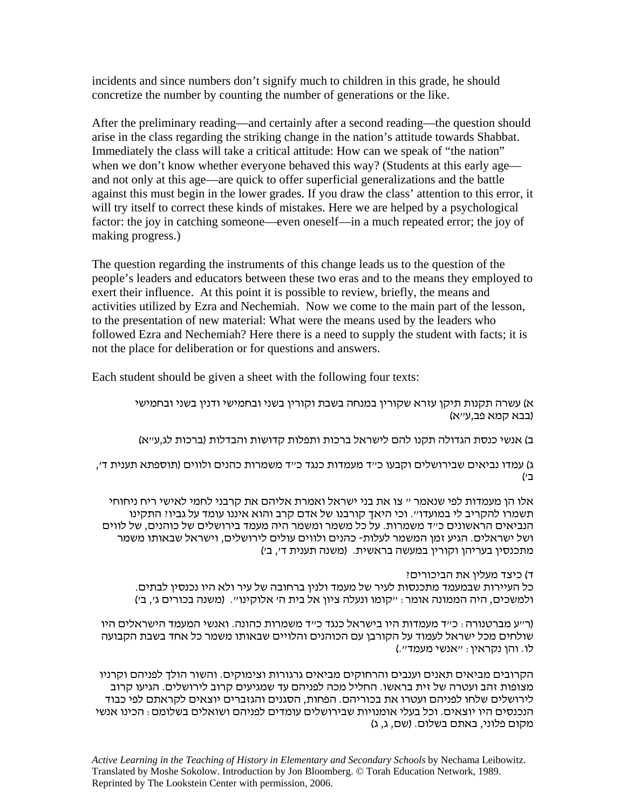incidents and since numbers don't signify much to children in this grade, he should concretize the number by counting the number of generations or the like.

After the preliminary reading—and certainly after a second reading—the question should arise in the class regarding the striking change in the nation's attitude towards Shabbat. Immediately the class will take a critical attitude: How can we speak of "the nation" when we don't know whether everyone behaved this way? (Students at this early age and not only at this age—are quick to offer superficial generalizations and the battle against this must begin in the lower grades. If you draw the class' attention to this error, it will try itself to correct these kinds of mistakes. Here we are helped by a psychological factor: the joy in catching someone—even oneself—in a much repeated error; the joy of making progress.)

The question regarding the instruments of this change leads us to the question of the people's leaders and educators between these two eras and to the means they employed to exert their influence. At this point it is possible to review, briefly, the means and activities utilized by Ezra and Nechemiah. Now we come to the main part of the lesson, to the presentation of new material: What were the means used by the leaders who followed Ezra and Nechemiah? Here there is a need to supply the student with facts; it is not the place for deliberation or for questions and answers.

Each student should be given a sheet with the following four texts:

א) עשרה תקנות תיקן עזרא שקורין במנחה בשבת וקורין בשני ובחמישי ודנין בשני ובחמישי (בבא קמא פב,ע"א)

ב) אנשי כנסת הגדולה תקנו להם לישראל ברכות ותפלות קדושות והבדלות (ברכות לג,ע"א)

ג) עמדו נביאים שבירושלים וקבעו כ"ד מעמדות כנגד כ"ד משמרות כהנים ולווים (תוספתא תענית ד', ב )'

אלו הן מעמדות לפי שנאמר " צו את בני ישראל ואמרת אליהם את קרבני לחמי לאישי ריח ניחוחי תשמרו להקריב לי במועדו". וכי היאך קורבנו של אדם קרב והוא איננו עומד על גביו? התקינו הנביאים הראשונים כ"ד משמרות. על כל משמר ומשמר היה מעמד בירושלים של כוהנים, של לווים ושל ישראלים. הגיע זמן המשמר לעלות- כהנים ולווים עולים לירושלים, וישראל שבאותו משמר מתכנסין בעריהן וקורין במעשה בראשית. (משנה תענית <sup>ד</sup>', <sup>ב</sup> )'

ד ) כיצד מעלין את הביכורים?

כל העיירות שבמעמד מתכנסות לעיר של מעמד ולנין ברחובה של עיר ולא היו נכנסין לבתים. ולמשכים, היה הממונה אומר: "קומו ונעלה ציון אל בית ה' אלוקינו". (משנה בכורים ג', ב )'

(ר"ע מברטנורה: כ"ד מעמדות היו בישראל כנגד כ"ד משמרות כהונה. ואנשי המעמד הישראלים היו שולחים מכל ישראל לעמוד על הקורבן עם הכוהנים והלויים שבאותו משמר כל אחד בשבת הקבועה לו. והן נקראין: "אנשי מעמד".)

הקרובים מביאים תאנים וענבים והרחוקים מביאים גרגורות וצימוקים. והשור הולך לפניהם וקרניו מצופות זהב ועטרה של זית בראשו. החליל מכה לפניהם עד שמגיעים קרוב לירושלים. הגיעו קרוב לירושלים שלחו לפניהם ועטרו את בכוריהם. הפחות, הסגנים והגזברים יוצאים לקראתם לפי כבוד הנכנסים היו יוצאים. וכל בעלי אומנויות שבירושלים עומדים לפניהם ושואלים בשלומם: הכינו אנשי מקום פלוני, באתם בשלום. (שם, ג, ג)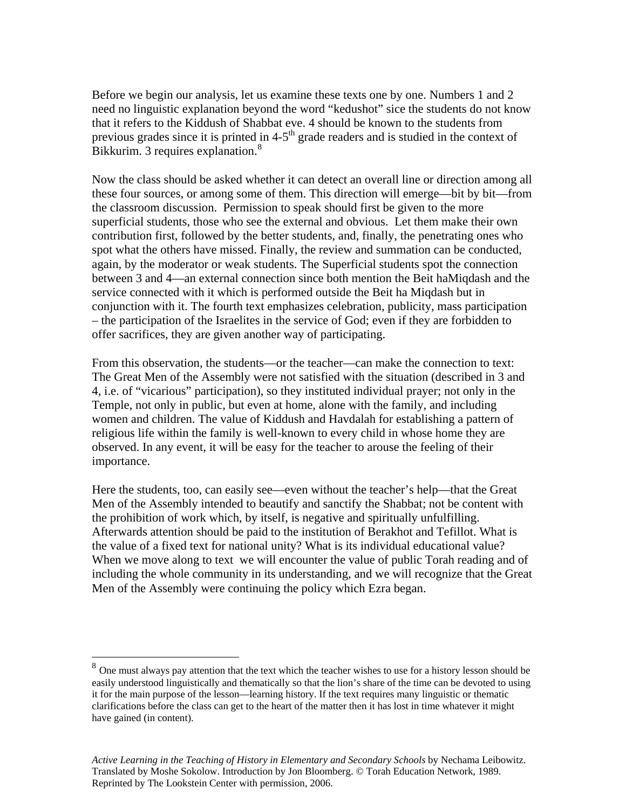Before we begin our analysis, let us examine these texts one by one. Numbers 1 and 2 need no linguistic explanation beyond the word "kedushot" sice the students do not know that it refers to the Kiddush of Shabbat eve. 4 should be known to the students from previous grades since it is printed in  $4-5<sup>th</sup>$  grade readers and is studied in the context of Bikkurim. 3 requires explanation.<sup>[8](#page-12-0)</sup>

Now the class should be asked whether it can detect an overall line or direction among all these four sources, or among some of them. This direction will emerge—bit by bit—from the classroom discussion. Permission to speak should first be given to the more superficial students, those who see the external and obvious. Let them make their own contribution first, followed by the better students, and, finally, the penetrating ones who spot what the others have missed. Finally, the review and summation can be conducted, again, by the moderator or weak students. The Superficial students spot the connection between 3 and 4—an external connection since both mention the Beit haMiqdash and the service connected with it which is performed outside the Beit ha Miqdash but in conjunction with it. The fourth text emphasizes celebration, publicity, mass participation – the participation of the Israelites in the service of God; even if they are forbidden to offer sacrifices, they are given another way of participating.

From this observation, the students—or the teacher—can make the connection to text: The Great Men of the Assembly were not satisfied with the situation (described in 3 and 4, i.e. of "vicarious" participation), so they instituted individual prayer; not only in the Temple, not only in public, but even at home, alone with the family, and including women and children. The value of Kiddush and Havdalah for establishing a pattern of religious life within the family is well-known to every child in whose home they are observed. In any event, it will be easy for the teacher to arouse the feeling of their importance.

Here the students, too, can easily see—even without the teacher's help—that the Great Men of the Assembly intended to beautify and sanctify the Shabbat; not be content with the prohibition of work which, by itself, is negative and spiritually unfulfilling. Afterwards attention should be paid to the institution of Berakhot and Tefillot. What is the value of a fixed text for national unity? What is its individual educational value? When we move along to text we will encounter the value of public Torah reading and of including the whole community in its understanding, and we will recognize that the Great Men of the Assembly were continuing the policy which Ezra began.

 $\overline{a}$ 

<span id="page-12-0"></span> $8\degree$  One must always pay attention that the text which the teacher wishes to use for a history lesson should be easily understood linguistically and thematically so that the lion's share of the time can be devoted to using it for the main purpose of the lesson—learning history. If the text requires many linguistic or thematic clarifications before the class can get to the heart of the matter then it has lost in time whatever it might have gained (in content).

*Active Learning in the Teaching of History in Elementary and Secondary Schools* by Nechama Leibowitz. Translated by Moshe Sokolow. Introduction by Jon Bloomberg. © Torah Education Network, 1989. Reprinted by The Lookstein Center with permission, 2006.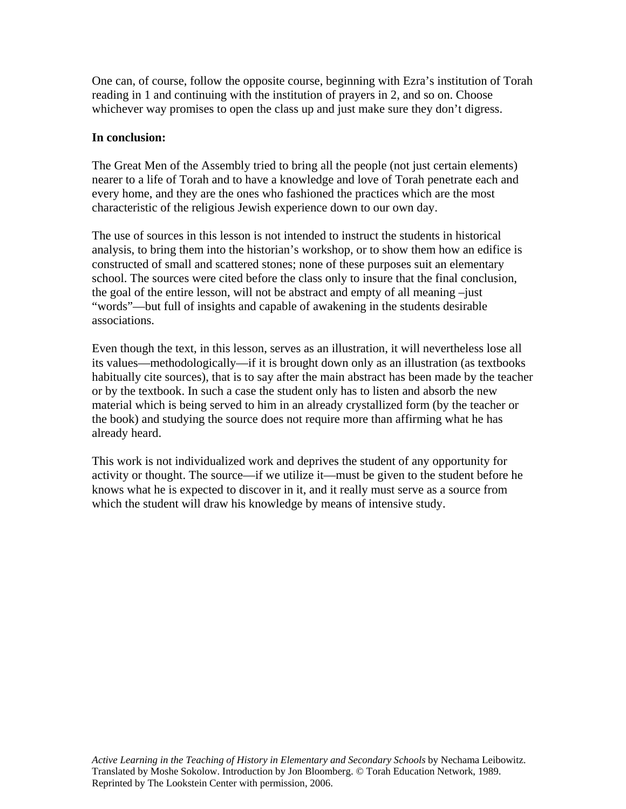One can, of course, follow the opposite course, beginning with Ezra's institution of Torah reading in 1 and continuing with the institution of prayers in 2, and so on. Choose whichever way promises to open the class up and just make sure they don't digress.

### **In conclusion:**

The Great Men of the Assembly tried to bring all the people (not just certain elements) nearer to a life of Torah and to have a knowledge and love of Torah penetrate each and every home, and they are the ones who fashioned the practices which are the most characteristic of the religious Jewish experience down to our own day.

The use of sources in this lesson is not intended to instruct the students in historical analysis, to bring them into the historian's workshop, or to show them how an edifice is constructed of small and scattered stones; none of these purposes suit an elementary school. The sources were cited before the class only to insure that the final conclusion, the goal of the entire lesson, will not be abstract and empty of all meaning –just "words"—but full of insights and capable of awakening in the students desirable associations.

Even though the text, in this lesson, serves as an illustration, it will nevertheless lose all its values—methodologically—if it is brought down only as an illustration (as textbooks habitually cite sources), that is to say after the main abstract has been made by the teacher or by the textbook. In such a case the student only has to listen and absorb the new material which is being served to him in an already crystallized form (by the teacher or the book) and studying the source does not require more than affirming what he has already heard.

This work is not individualized work and deprives the student of any opportunity for activity or thought. The source—if we utilize it—must be given to the student before he knows what he is expected to discover in it, and it really must serve as a source from which the student will draw his knowledge by means of intensive study.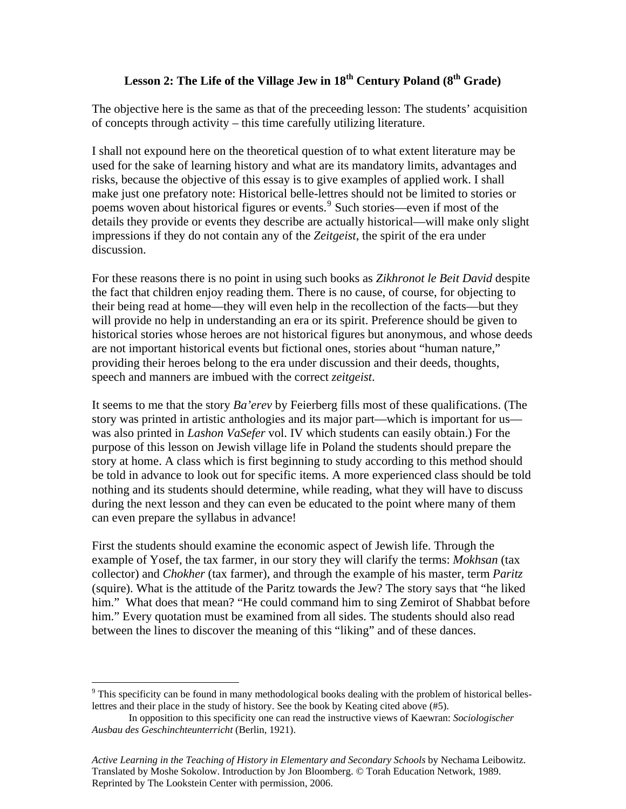# Lesson 2: The Life of the Village Jew in 18<sup>th</sup> Century Poland (8<sup>th</sup> Grade)

The objective here is the same as that of the preceeding lesson: The students' acquisition of concepts through activity – this time carefully utilizing literature.

I shall not expound here on the theoretical question of to what extent literature may be used for the sake of learning history and what are its mandatory limits, advantages and risks, because the objective of this essay is to give examples of applied work. I shall make just one prefatory note: Historical belle-lettres should not be limited to stories or poems woven about historical figures or events.<sup>[9](#page-14-0)</sup> Such stories—even if most of the details they provide or events they describe are actually historical—will make only slight impressions if they do not contain any of the *Zeitgeist*, the spirit of the era under discussion.

For these reasons there is no point in using such books as *Zikhronot le Beit David* despite the fact that children enjoy reading them. There is no cause, of course, for objecting to their being read at home—they will even help in the recollection of the facts—but they will provide no help in understanding an era or its spirit. Preference should be given to historical stories whose heroes are not historical figures but anonymous, and whose deeds are not important historical events but fictional ones, stories about "human nature," providing their heroes belong to the era under discussion and their deeds, thoughts, speech and manners are imbued with the correct *zeitgeist*.

It seems to me that the story *Ba'erev* by Feierberg fills most of these qualifications. (The story was printed in artistic anthologies and its major part—which is important for us was also printed in *Lashon VaSefer* vol. IV which students can easily obtain.) For the purpose of this lesson on Jewish village life in Poland the students should prepare the story at home. A class which is first beginning to study according to this method should be told in advance to look out for specific items. A more experienced class should be told nothing and its students should determine, while reading, what they will have to discuss during the next lesson and they can even be educated to the point where many of them can even prepare the syllabus in advance!

First the students should examine the economic aspect of Jewish life. Through the example of Yosef, the tax farmer, in our story they will clarify the terms: *Mokhsan* (tax collector) and *Chokher* (tax farmer), and through the example of his master, term *Paritz* (squire). What is the attitude of the Paritz towards the Jew? The story says that "he liked him." What does that mean? "He could command him to sing Zemirot of Shabbat before him." Every quotation must be examined from all sides. The students should also read between the lines to discover the meaning of this "liking" and of these dances.

 $\overline{a}$ 

<span id="page-14-0"></span> $9$  This specificity can be found in many methodological books dealing with the problem of historical belleslettres and their place in the study of history. See the book by Keating cited above (#5).

In opposition to this specificity one can read the instructive views of Kaewran: *Sociologischer Ausbau des Geschinchteunterricht* (Berlin, 1921).

*Active Learning in the Teaching of History in Elementary and Secondary Schools* by Nechama Leibowitz. Translated by Moshe Sokolow. Introduction by Jon Bloomberg. © Torah Education Network, 1989. Reprinted by The Lookstein Center with permission, 2006.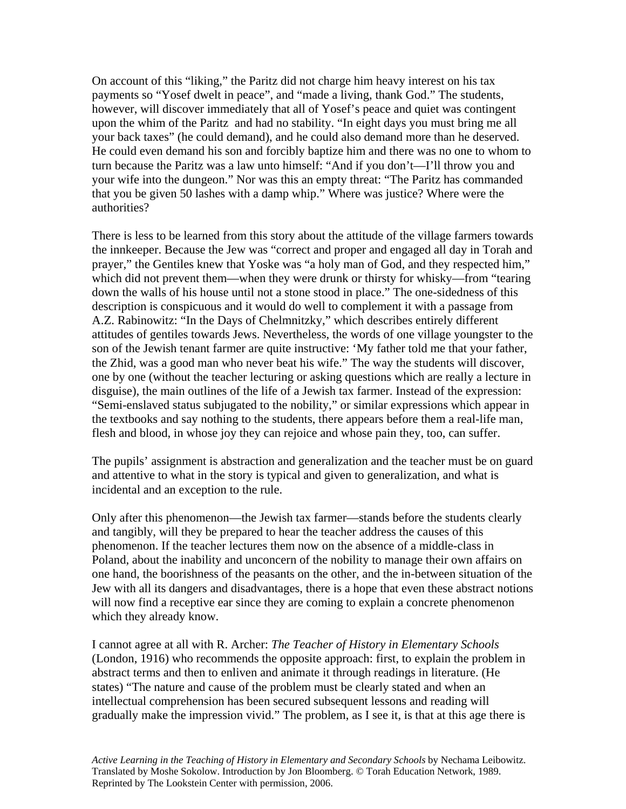On account of this "liking," the Paritz did not charge him heavy interest on his tax payments so "Yosef dwelt in peace", and "made a living, thank God." The students, however, will discover immediately that all of Yosef's peace and quiet was contingent upon the whim of the Paritz and had no stability. "In eight days you must bring me all your back taxes" (he could demand), and he could also demand more than he deserved. He could even demand his son and forcibly baptize him and there was no one to whom to turn because the Paritz was a law unto himself: "And if you don't—I'll throw you and your wife into the dungeon." Nor was this an empty threat: "The Paritz has commanded that you be given 50 lashes with a damp whip." Where was justice? Where were the authorities?

There is less to be learned from this story about the attitude of the village farmers towards the innkeeper. Because the Jew was "correct and proper and engaged all day in Torah and prayer," the Gentiles knew that Yoske was "a holy man of God, and they respected him," which did not prevent them—when they were drunk or thirsty for whisky—from "tearing down the walls of his house until not a stone stood in place." The one-sidedness of this description is conspicuous and it would do well to complement it with a passage from A.Z. Rabinowitz: "In the Days of Chelmnitzky," which describes entirely different attitudes of gentiles towards Jews. Nevertheless, the words of one village youngster to the son of the Jewish tenant farmer are quite instructive: 'My father told me that your father, the Zhid, was a good man who never beat his wife." The way the students will discover, one by one (without the teacher lecturing or asking questions which are really a lecture in disguise), the main outlines of the life of a Jewish tax farmer. Instead of the expression: "Semi-enslaved status subjugated to the nobility," or similar expressions which appear in the textbooks and say nothing to the students, there appears before them a real-life man, flesh and blood, in whose joy they can rejoice and whose pain they, too, can suffer.

The pupils' assignment is abstraction and generalization and the teacher must be on guard and attentive to what in the story is typical and given to generalization, and what is incidental and an exception to the rule.

Only after this phenomenon—the Jewish tax farmer—stands before the students clearly and tangibly, will they be prepared to hear the teacher address the causes of this phenomenon. If the teacher lectures them now on the absence of a middle-class in Poland, about the inability and unconcern of the nobility to manage their own affairs on one hand, the boorishness of the peasants on the other, and the in-between situation of the Jew with all its dangers and disadvantages, there is a hope that even these abstract notions will now find a receptive ear since they are coming to explain a concrete phenomenon which they already know.

I cannot agree at all with R. Archer: *The Teacher of History in Elementary Schools*  (London, 1916) who recommends the opposite approach: first, to explain the problem in abstract terms and then to enliven and animate it through readings in literature. (He states) "The nature and cause of the problem must be clearly stated and when an intellectual comprehension has been secured subsequent lessons and reading will gradually make the impression vivid." The problem, as I see it, is that at this age there is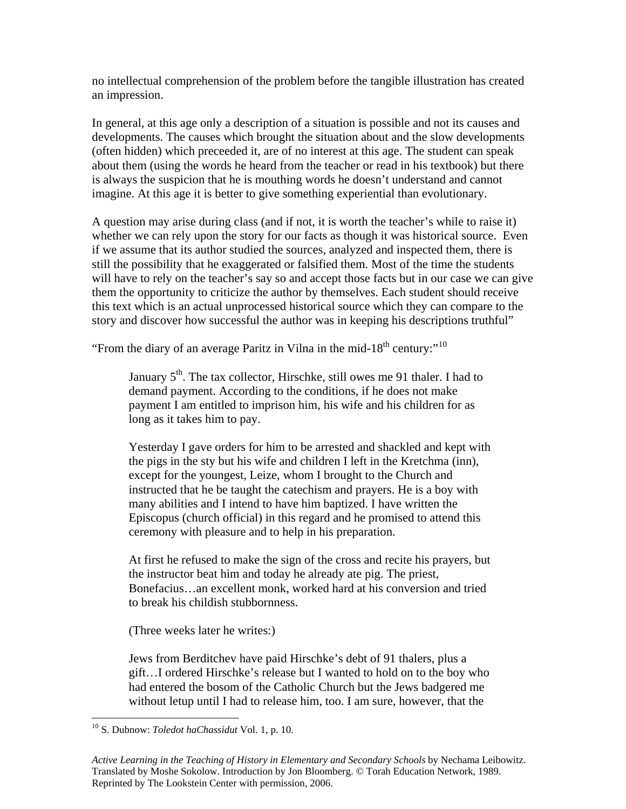no intellectual comprehension of the problem before the tangible illustration has created an impression.

In general, at this age only a description of a situation is possible and not its causes and developments. The causes which brought the situation about and the slow developments (often hidden) which preceeded it, are of no interest at this age. The student can speak about them (using the words he heard from the teacher or read in his textbook) but there is always the suspicion that he is mouthing words he doesn't understand and cannot imagine. At this age it is better to give something experiential than evolutionary.

A question may arise during class (and if not, it is worth the teacher's while to raise it) whether we can rely upon the story for our facts as though it was historical source. Even if we assume that its author studied the sources, analyzed and inspected them, there is still the possibility that he exaggerated or falsified them. Most of the time the students will have to rely on the teacher's say so and accept those facts but in our case we can give them the opportunity to criticize the author by themselves. Each student should receive this text which is an actual unprocessed historical source which they can compare to the story and discover how successful the author was in keeping his descriptions truthful"

"From the diary of an average Paritz in Vilna in the mid-18<sup>th</sup> century:"<sup>[10](#page-16-0)</sup>

January 5<sup>th</sup>. The tax collector, Hirschke, still owes me 91 thaler. I had to demand payment. According to the conditions, if he does not make payment I am entitled to imprison him, his wife and his children for as long as it takes him to pay.

Yesterday I gave orders for him to be arrested and shackled and kept with the pigs in the sty but his wife and children I left in the Kretchma (inn), except for the youngest, Leize, whom I brought to the Church and instructed that he be taught the catechism and prayers. He is a boy with many abilities and I intend to have him baptized. I have written the Episcopus (church official) in this regard and he promised to attend this ceremony with pleasure and to help in his preparation.

At first he refused to make the sign of the cross and recite his prayers, but the instructor beat him and today he already ate pig. The priest, Bonefacius…an excellent monk, worked hard at his conversion and tried to break his childish stubbornness.

(Three weeks later he writes:)

Jews from Berditchev have paid Hirschke's debt of 91 thalers, plus a gift…I ordered Hirschke's release but I wanted to hold on to the boy who had entered the bosom of the Catholic Church but the Jews badgered me without letup until I had to release him, too. I am sure, however, that the

 $\overline{a}$ 

<span id="page-16-0"></span><sup>10</sup> S. Dubnow: *Toledot haChassidut* Vol. 1, p. 10.

*Active Learning in the Teaching of History in Elementary and Secondary Schools* by Nechama Leibowitz. Translated by Moshe Sokolow. Introduction by Jon Bloomberg. © Torah Education Network, 1989. Reprinted by The Lookstein Center with permission, 2006.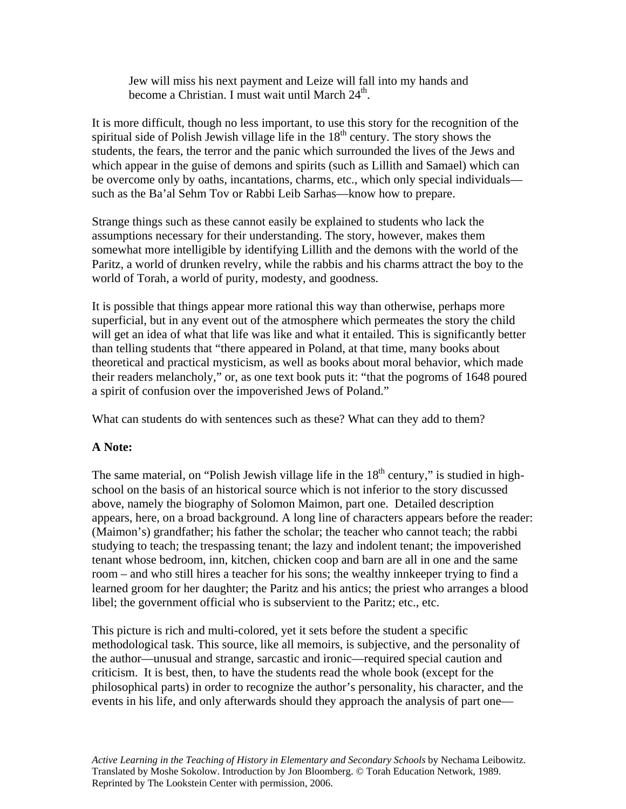Jew will miss his next payment and Leize will fall into my hands and become a Christian. I must wait until March  $24<sup>th</sup>$ .

It is more difficult, though no less important, to use this story for the recognition of the spiritual side of Polish Jewish village life in the  $18<sup>th</sup>$  century. The story shows the students, the fears, the terror and the panic which surrounded the lives of the Jews and which appear in the guise of demons and spirits (such as Lillith and Samael) which can be overcome only by oaths, incantations, charms, etc., which only special individuals such as the Ba'al Sehm Tov or Rabbi Leib Sarhas—know how to prepare.

Strange things such as these cannot easily be explained to students who lack the assumptions necessary for their understanding. The story, however, makes them somewhat more intelligible by identifying Lillith and the demons with the world of the Paritz, a world of drunken revelry, while the rabbis and his charms attract the boy to the world of Torah, a world of purity, modesty, and goodness.

It is possible that things appear more rational this way than otherwise, perhaps more superficial, but in any event out of the atmosphere which permeates the story the child will get an idea of what that life was like and what it entailed. This is significantly better than telling students that "there appeared in Poland, at that time, many books about theoretical and practical mysticism, as well as books about moral behavior, which made their readers melancholy," or, as one text book puts it: "that the pogroms of 1648 poured a spirit of confusion over the impoverished Jews of Poland."

What can students do with sentences such as these? What can they add to them?

## **A Note:**

The same material, on "Polish Jewish village life in the  $18<sup>th</sup>$  century," is studied in highschool on the basis of an historical source which is not inferior to the story discussed above, namely the biography of Solomon Maimon, part one. Detailed description appears, here, on a broad background. A long line of characters appears before the reader: (Maimon's) grandfather; his father the scholar; the teacher who cannot teach; the rabbi studying to teach; the trespassing tenant; the lazy and indolent tenant; the impoverished tenant whose bedroom, inn, kitchen, chicken coop and barn are all in one and the same room – and who still hires a teacher for his sons; the wealthy innkeeper trying to find a learned groom for her daughter; the Paritz and his antics; the priest who arranges a blood libel; the government official who is subservient to the Paritz; etc., etc.

This picture is rich and multi-colored, yet it sets before the student a specific methodological task. This source, like all memoirs, is subjective, and the personality of the author—unusual and strange, sarcastic and ironic—required special caution and criticism. It is best, then, to have the students read the whole book (except for the philosophical parts) in order to recognize the author's personality, his character, and the events in his life, and only afterwards should they approach the analysis of part one—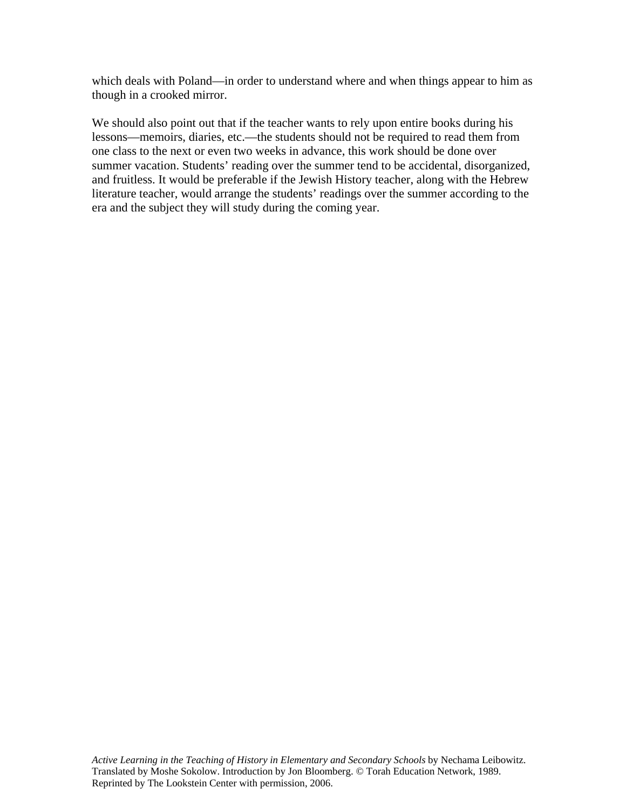which deals with Poland—in order to understand where and when things appear to him as though in a crooked mirror.

We should also point out that if the teacher wants to rely upon entire books during his lessons—memoirs, diaries, etc.—the students should not be required to read them from one class to the next or even two weeks in advance, this work should be done over summer vacation. Students' reading over the summer tend to be accidental, disorganized, and fruitless. It would be preferable if the Jewish History teacher, along with the Hebrew literature teacher, would arrange the students' readings over the summer according to the era and the subject they will study during the coming year.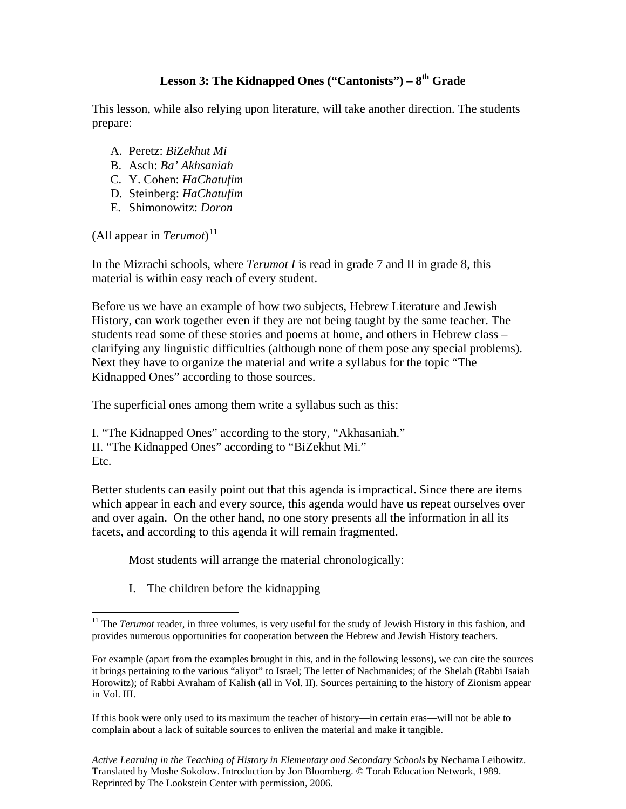## **Lesson 3: The Kidnapped Ones ("Cantonists") – 8th Grade**

This lesson, while also relying upon literature, will take another direction. The students prepare:

- A. Peretz: *BiZekhut Mi*
- B. Asch: *Ba' Akhsaniah*
- C. Y. Cohen: *HaChatufim*
- D. Steinberg: *HaChatufim*
- E. Shimonowitz: *Doron*

(All appear in *Terumot*) [11](#page-19-0)

 $\overline{a}$ 

In the Mizrachi schools, where *Terumot I* is read in grade 7 and II in grade 8, this material is within easy reach of every student.

Before us we have an example of how two subjects, Hebrew Literature and Jewish History, can work together even if they are not being taught by the same teacher. The students read some of these stories and poems at home, and others in Hebrew class – clarifying any linguistic difficulties (although none of them pose any special problems). Next they have to organize the material and write a syllabus for the topic "The Kidnapped Ones" according to those sources.

The superficial ones among them write a syllabus such as this:

I. "The Kidnapped Ones" according to the story, "Akhasaniah." II. "The Kidnapped Ones" according to "BiZekhut Mi." Etc.

Better students can easily point out that this agenda is impractical. Since there are items which appear in each and every source, this agenda would have us repeat ourselves over and over again. On the other hand, no one story presents all the information in all its facets, and according to this agenda it will remain fragmented.

Most students will arrange the material chronologically:

I. The children before the kidnapping

<span id="page-19-0"></span><sup>&</sup>lt;sup>11</sup> The *Terumot* reader, in three volumes, is very useful for the study of Jewish History in this fashion, and provides numerous opportunities for cooperation between the Hebrew and Jewish History teachers.

For example (apart from the examples brought in this, and in the following lessons), we can cite the sources it brings pertaining to the various "aliyot" to Israel; The letter of Nachmanides; of the Shelah (Rabbi Isaiah Horowitz); of Rabbi Avraham of Kalish (all in Vol. II). Sources pertaining to the history of Zionism appear in Vol. III.

If this book were only used to its maximum the teacher of history—in certain eras—will not be able to complain about a lack of suitable sources to enliven the material and make it tangible.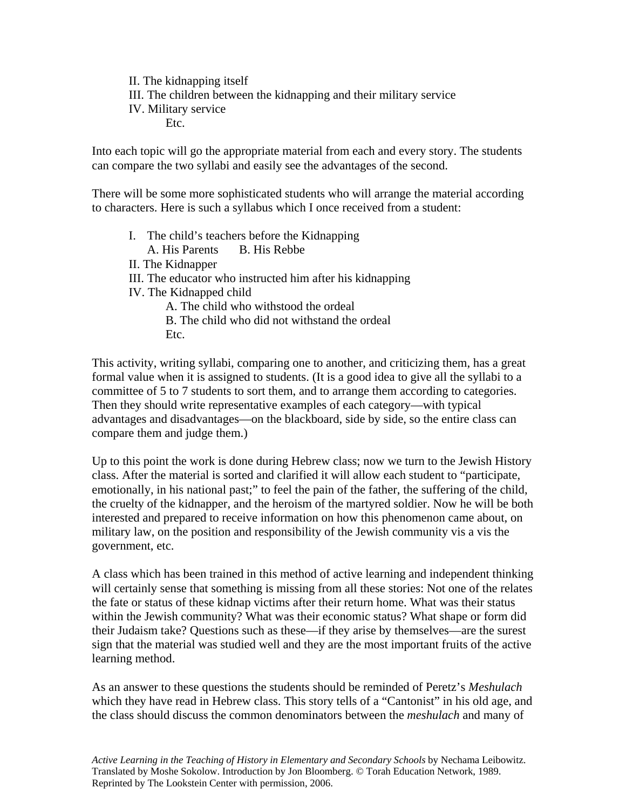II. The kidnapping itself III. The children between the kidnapping and their military service IV. Military service Etc.

Into each topic will go the appropriate material from each and every story. The students can compare the two syllabi and easily see the advantages of the second.

There will be some more sophisticated students who will arrange the material according to characters. Here is such a syllabus which I once received from a student:

I. The child's teachers before the Kidnapping A. His Parents B. His Rebbe II. The Kidnapper III. The educator who instructed him after his kidnapping IV. The Kidnapped child A. The child who withstood the ordeal B. The child who did not withstand the ordeal Etc.

This activity, writing syllabi, comparing one to another, and criticizing them, has a great formal value when it is assigned to students. (It is a good idea to give all the syllabi to a committee of 5 to 7 students to sort them, and to arrange them according to categories. Then they should write representative examples of each category—with typical advantages and disadvantages—on the blackboard, side by side, so the entire class can compare them and judge them.)

Up to this point the work is done during Hebrew class; now we turn to the Jewish History class. After the material is sorted and clarified it will allow each student to "participate, emotionally, in his national past;" to feel the pain of the father, the suffering of the child, the cruelty of the kidnapper, and the heroism of the martyred soldier. Now he will be both interested and prepared to receive information on how this phenomenon came about, on military law, on the position and responsibility of the Jewish community vis a vis the government, etc.

A class which has been trained in this method of active learning and independent thinking will certainly sense that something is missing from all these stories: Not one of the relates the fate or status of these kidnap victims after their return home. What was their status within the Jewish community? What was their economic status? What shape or form did their Judaism take? Questions such as these—if they arise by themselves—are the surest sign that the material was studied well and they are the most important fruits of the active learning method.

As an answer to these questions the students should be reminded of Peretz's *Meshulach* which they have read in Hebrew class. This story tells of a "Cantonist" in his old age, and the class should discuss the common denominators between the *meshulach* and many of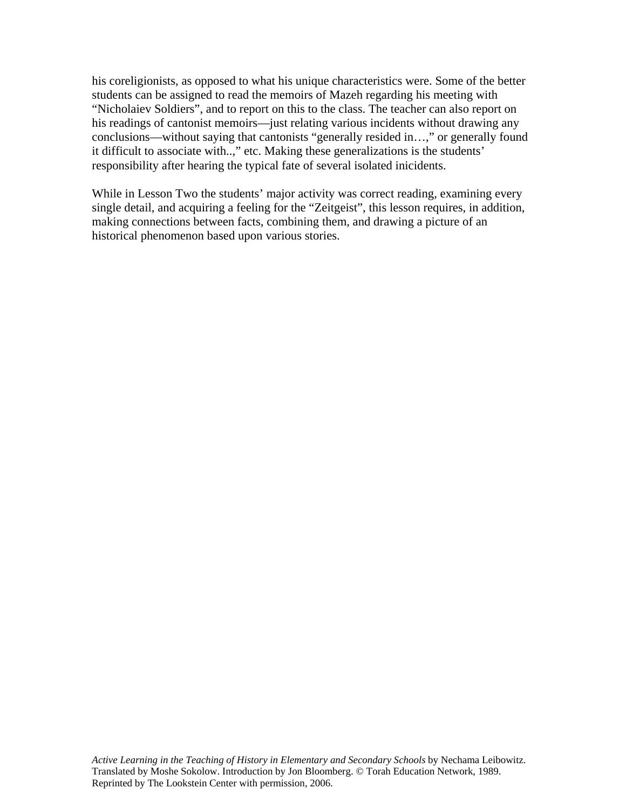his coreligionists, as opposed to what his unique characteristics were. Some of the better students can be assigned to read the memoirs of Mazeh regarding his meeting with "Nicholaiev Soldiers", and to report on this to the class. The teacher can also report on his readings of cantonist memoirs—just relating various incidents without drawing any conclusions—without saying that cantonists "generally resided in…," or generally found it difficult to associate with..," etc. Making these generalizations is the students' responsibility after hearing the typical fate of several isolated inicidents.

While in Lesson Two the students' major activity was correct reading, examining every single detail, and acquiring a feeling for the "Zeitgeist", this lesson requires, in addition, making connections between facts, combining them, and drawing a picture of an historical phenomenon based upon various stories.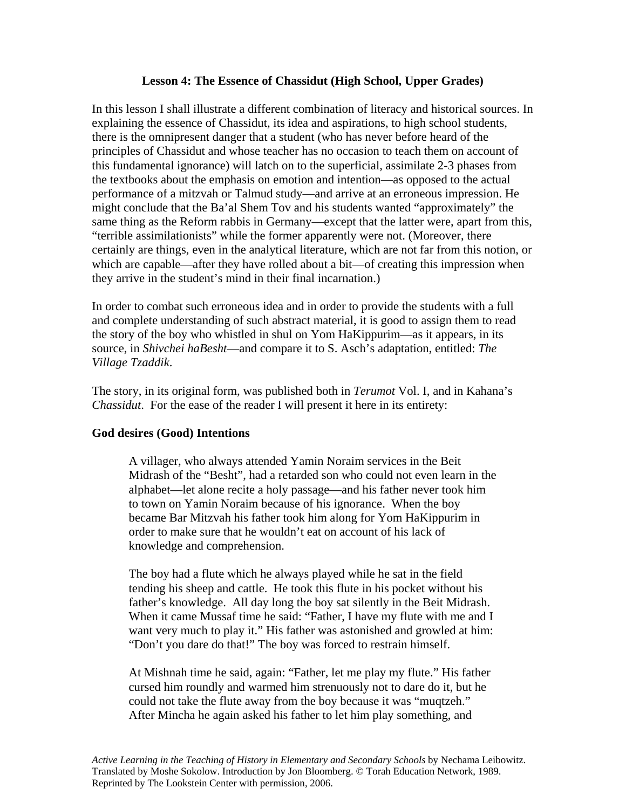### **Lesson 4: The Essence of Chassidut (High School, Upper Grades)**

In this lesson I shall illustrate a different combination of literacy and historical sources. In explaining the essence of Chassidut, its idea and aspirations, to high school students, there is the omnipresent danger that a student (who has never before heard of the principles of Chassidut and whose teacher has no occasion to teach them on account of this fundamental ignorance) will latch on to the superficial, assimilate 2-3 phases from the textbooks about the emphasis on emotion and intention—as opposed to the actual performance of a mitzvah or Talmud study—and arrive at an erroneous impression. He might conclude that the Ba'al Shem Tov and his students wanted "approximately" the same thing as the Reform rabbis in Germany—except that the latter were, apart from this, "terrible assimilationists" while the former apparently were not. (Moreover, there certainly are things, even in the analytical literature, which are not far from this notion, or which are capable—after they have rolled about a bit—of creating this impression when they arrive in the student's mind in their final incarnation.)

In order to combat such erroneous idea and in order to provide the students with a full and complete understanding of such abstract material, it is good to assign them to read the story of the boy who whistled in shul on Yom HaKippurim—as it appears, in its source, in *Shivchei haBesht*—and compare it to S. Asch's adaptation, entitled: *The Village Tzaddik*.

The story, in its original form, was published both in *Terumot* Vol. I, and in Kahana's *Chassidut*. For the ease of the reader I will present it here in its entirety:

### **God desires (Good) Intentions**

A villager, who always attended Yamin Noraim services in the Beit Midrash of the "Besht", had a retarded son who could not even learn in the alphabet—let alone recite a holy passage—and his father never took him to town on Yamin Noraim because of his ignorance. When the boy became Bar Mitzvah his father took him along for Yom HaKippurim in order to make sure that he wouldn't eat on account of his lack of knowledge and comprehension.

The boy had a flute which he always played while he sat in the field tending his sheep and cattle. He took this flute in his pocket without his father's knowledge. All day long the boy sat silently in the Beit Midrash. When it came Mussaf time he said: "Father, I have my flute with me and I want very much to play it." His father was astonished and growled at him: "Don't you dare do that!" The boy was forced to restrain himself.

At Mishnah time he said, again: "Father, let me play my flute." His father cursed him roundly and warmed him strenuously not to dare do it, but he could not take the flute away from the boy because it was "muqtzeh." After Mincha he again asked his father to let him play something, and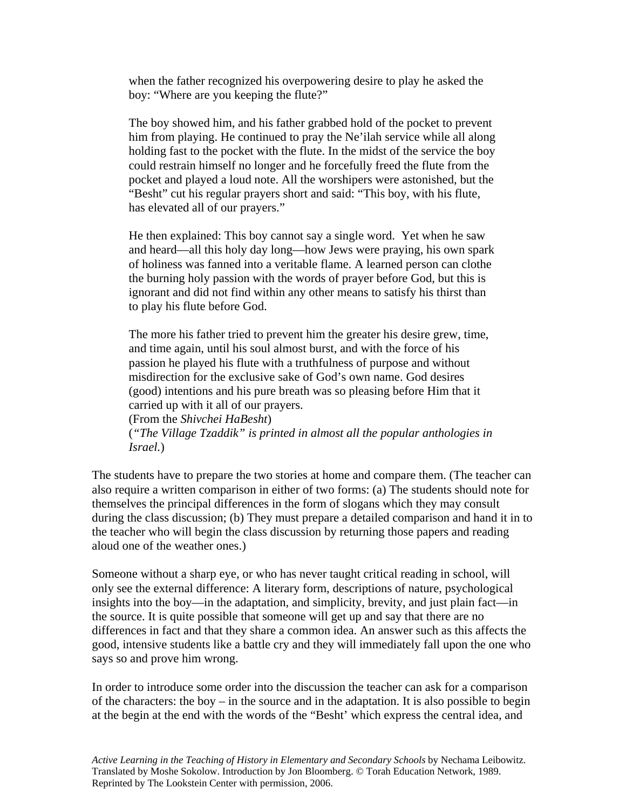when the father recognized his overpowering desire to play he asked the boy: "Where are you keeping the flute?"

The boy showed him, and his father grabbed hold of the pocket to prevent him from playing. He continued to pray the Ne'ilah service while all along holding fast to the pocket with the flute. In the midst of the service the boy could restrain himself no longer and he forcefully freed the flute from the pocket and played a loud note. All the worshipers were astonished, but the "Besht" cut his regular prayers short and said: "This boy, with his flute, has elevated all of our prayers."

He then explained: This boy cannot say a single word. Yet when he saw and heard—all this holy day long—how Jews were praying, his own spark of holiness was fanned into a veritable flame. A learned person can clothe the burning holy passion with the words of prayer before God, but this is ignorant and did not find within any other means to satisfy his thirst than to play his flute before God.

The more his father tried to prevent him the greater his desire grew, time, and time again, until his soul almost burst, and with the force of his passion he played his flute with a truthfulness of purpose and without misdirection for the exclusive sake of God's own name. God desires (good) intentions and his pure breath was so pleasing before Him that it carried up with it all of our prayers.

(From the *Shivchei HaBesht*) (*"The Village Tzaddik" is printed in almost all the popular anthologies in Israel.*)

The students have to prepare the two stories at home and compare them. (The teacher can also require a written comparison in either of two forms: (a) The students should note for themselves the principal differences in the form of slogans which they may consult during the class discussion; (b) They must prepare a detailed comparison and hand it in to the teacher who will begin the class discussion by returning those papers and reading aloud one of the weather ones.)

Someone without a sharp eye, or who has never taught critical reading in school, will only see the external difference: A literary form, descriptions of nature, psychological insights into the boy—in the adaptation, and simplicity, brevity, and just plain fact—in the source. It is quite possible that someone will get up and say that there are no differences in fact and that they share a common idea. An answer such as this affects the good, intensive students like a battle cry and they will immediately fall upon the one who says so and prove him wrong.

In order to introduce some order into the discussion the teacher can ask for a comparison of the characters: the boy – in the source and in the adaptation. It is also possible to begin at the begin at the end with the words of the "Besht' which express the central idea, and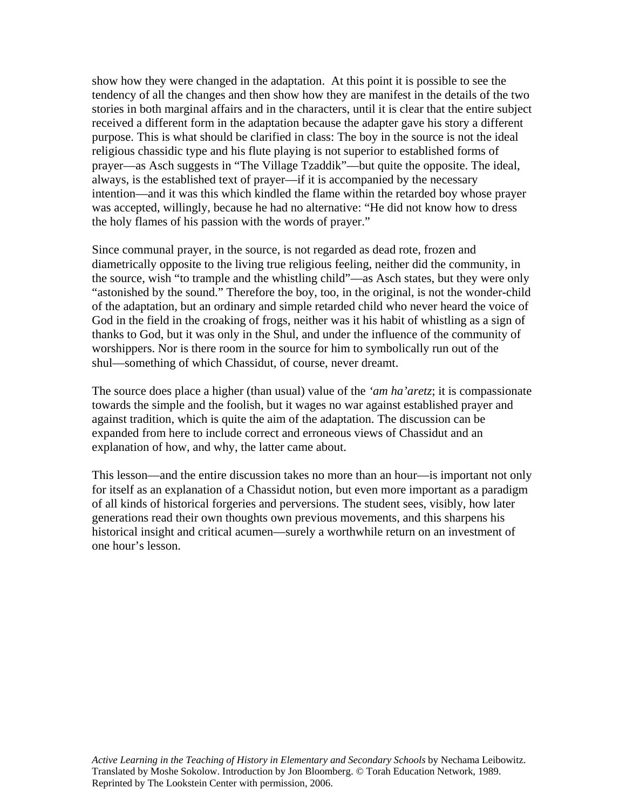show how they were changed in the adaptation. At this point it is possible to see the tendency of all the changes and then show how they are manifest in the details of the two stories in both marginal affairs and in the characters, until it is clear that the entire subject received a different form in the adaptation because the adapter gave his story a different purpose. This is what should be clarified in class: The boy in the source is not the ideal religious chassidic type and his flute playing is not superior to established forms of prayer—as Asch suggests in "The Village Tzaddik"—but quite the opposite. The ideal, always, is the established text of prayer—if it is accompanied by the necessary intention—and it was this which kindled the flame within the retarded boy whose prayer was accepted, willingly, because he had no alternative: "He did not know how to dress the holy flames of his passion with the words of prayer."

Since communal prayer, in the source, is not regarded as dead rote, frozen and diametrically opposite to the living true religious feeling, neither did the community, in the source, wish "to trample and the whistling child"—as Asch states, but they were only "astonished by the sound." Therefore the boy, too, in the original, is not the wonder-child of the adaptation, but an ordinary and simple retarded child who never heard the voice of God in the field in the croaking of frogs, neither was it his habit of whistling as a sign of thanks to God, but it was only in the Shul, and under the influence of the community of worshippers. Nor is there room in the source for him to symbolically run out of the shul—something of which Chassidut, of course, never dreamt.

The source does place a higher (than usual) value of the *'am ha'aretz*; it is compassionate towards the simple and the foolish, but it wages no war against established prayer and against tradition, which is quite the aim of the adaptation. The discussion can be expanded from here to include correct and erroneous views of Chassidut and an explanation of how, and why, the latter came about.

This lesson—and the entire discussion takes no more than an hour—is important not only for itself as an explanation of a Chassidut notion, but even more important as a paradigm of all kinds of historical forgeries and perversions. The student sees, visibly, how later generations read their own thoughts own previous movements, and this sharpens his historical insight and critical acumen—surely a worthwhile return on an investment of one hour's lesson.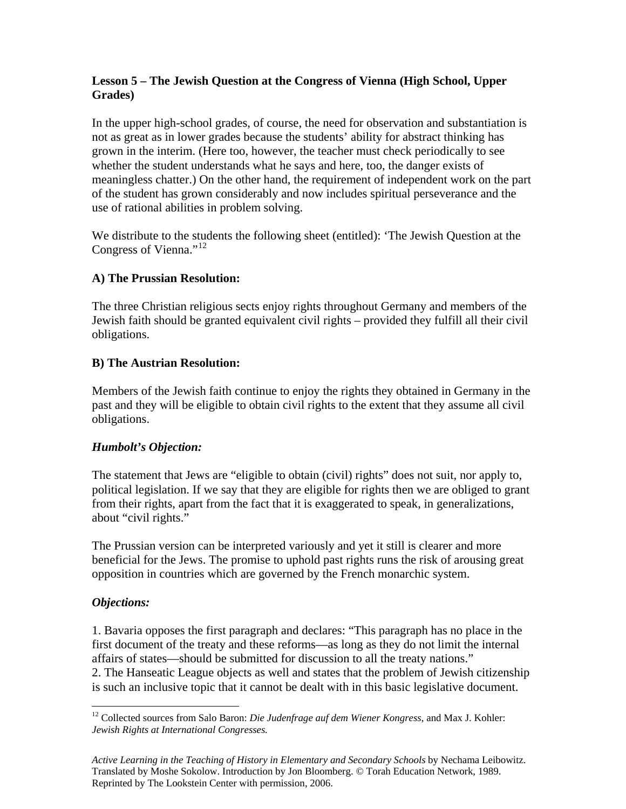### **Lesson 5 – The Jewish Question at the Congress of Vienna (High School, Upper Grades)**

In the upper high-school grades, of course, the need for observation and substantiation is not as great as in lower grades because the students' ability for abstract thinking has grown in the interim. (Here too, however, the teacher must check periodically to see whether the student understands what he says and here, too, the danger exists of meaningless chatter.) On the other hand, the requirement of independent work on the part of the student has grown considerably and now includes spiritual perseverance and the use of rational abilities in problem solving.

We distribute to the students the following sheet (entitled): 'The Jewish Question at the Congress of Vienna."<sup>[12](#page-25-0)</sup>

## **A) The Prussian Resolution:**

The three Christian religious sects enjoy rights throughout Germany and members of the Jewish faith should be granted equivalent civil rights – provided they fulfill all their civil obligations.

## **B) The Austrian Resolution:**

Members of the Jewish faith continue to enjoy the rights they obtained in Germany in the past and they will be eligible to obtain civil rights to the extent that they assume all civil obligations.

# *Humbolt's Objection:*

The statement that Jews are "eligible to obtain (civil) rights" does not suit, nor apply to, political legislation. If we say that they are eligible for rights then we are obliged to grant from their rights, apart from the fact that it is exaggerated to speak, in generalizations, about "civil rights."

The Prussian version can be interpreted variously and yet it still is clearer and more beneficial for the Jews. The promise to uphold past rights runs the risk of arousing great opposition in countries which are governed by the French monarchic system.

# *Objections:*

1. Bavaria opposes the first paragraph and declares: "This paragraph has no place in the first document of the treaty and these reforms—as long as they do not limit the internal affairs of states—should be submitted for discussion to all the treaty nations." 2. The Hanseatic League objects as well and states that the problem of Jewish citizenship is such an inclusive topic that it cannot be dealt with in this basic legislative document.

<span id="page-25-0"></span> $\overline{a}$ <sup>12</sup> Collected sources from Salo Baron: *Die Judenfrage auf dem Wiener Kongress*, and Max J. Kohler: *Jewish Rights at International Congresses.*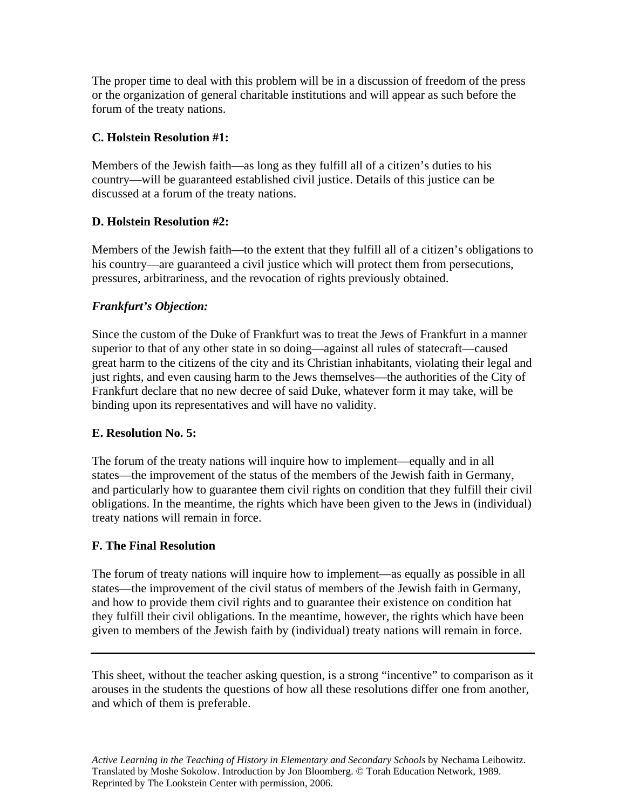The proper time to deal with this problem will be in a discussion of freedom of the press or the organization of general charitable institutions and will appear as such before the forum of the treaty nations.

### **C. Holstein Resolution #1:**

Members of the Jewish faith—as long as they fulfill all of a citizen's duties to his country—will be guaranteed established civil justice. Details of this justice can be discussed at a forum of the treaty nations.

## **D. Holstein Resolution #2:**

Members of the Jewish faith—to the extent that they fulfill all of a citizen's obligations to his country—are guaranteed a civil justice which will protect them from persecutions, pressures, arbitrariness, and the revocation of rights previously obtained.

## *Frankfurt's Objection:*

Since the custom of the Duke of Frankfurt was to treat the Jews of Frankfurt in a manner superior to that of any other state in so doing—against all rules of statecraft—caused great harm to the citizens of the city and its Christian inhabitants, violating their legal and just rights, and even causing harm to the Jews themselves—the authorities of the City of Frankfurt declare that no new decree of said Duke, whatever form it may take, will be binding upon its representatives and will have no validity.

### **E. Resolution No. 5:**

The forum of the treaty nations will inquire how to implement—equally and in all states—the improvement of the status of the members of the Jewish faith in Germany, and particularly how to guarantee them civil rights on condition that they fulfill their civil obligations. In the meantime, the rights which have been given to the Jews in (individual) treaty nations will remain in force.

### **F. The Final Resolution**

The forum of treaty nations will inquire how to implement—as equally as possible in all states—the improvement of the civil status of members of the Jewish faith in Germany, and how to provide them civil rights and to guarantee their existence on condition hat they fulfill their civil obligations. In the meantime, however, the rights which have been given to members of the Jewish faith by (individual) treaty nations will remain in force.

This sheet, without the teacher asking question, is a strong "incentive" to comparison as it arouses in the students the questions of how all these resolutions differ one from another, and which of them is preferable.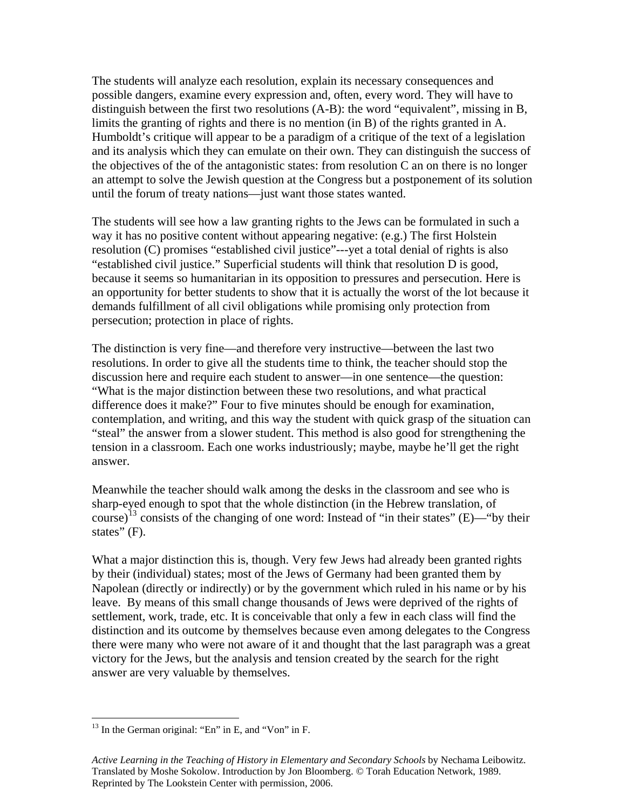The students will analyze each resolution, explain its necessary consequences and possible dangers, examine every expression and, often, every word. They will have to distinguish between the first two resolutions (A-B): the word "equivalent", missing in B, limits the granting of rights and there is no mention (in B) of the rights granted in A. Humboldt's critique will appear to be a paradigm of a critique of the text of a legislation and its analysis which they can emulate on their own. They can distinguish the success of the objectives of the of the antagonistic states: from resolution C an on there is no longer an attempt to solve the Jewish question at the Congress but a postponement of its solution until the forum of treaty nations—just want those states wanted.

The students will see how a law granting rights to the Jews can be formulated in such a way it has no positive content without appearing negative: (e.g.) The first Holstein resolution (C) promises "established civil justice"---yet a total denial of rights is also "established civil justice." Superficial students will think that resolution D is good, because it seems so humanitarian in its opposition to pressures and persecution. Here is an opportunity for better students to show that it is actually the worst of the lot because it demands fulfillment of all civil obligations while promising only protection from persecution; protection in place of rights.

The distinction is very fine—and therefore very instructive—between the last two resolutions. In order to give all the students time to think, the teacher should stop the discussion here and require each student to answer—in one sentence—the question: "What is the major distinction between these two resolutions, and what practical difference does it make?" Four to five minutes should be enough for examination, contemplation, and writing, and this way the student with quick grasp of the situation can "steal" the answer from a slower student. This method is also good for strengthening the tension in a classroom. Each one works industriously; maybe, maybe he'll get the right answer.

Meanwhile the teacher should walk among the desks in the classroom and see who is sharp-eyed enough to spot that the whole distinction (in the Hebrew translation, of course)<sup>[13](#page-27-0)</sup> consists of the changing of one word: Instead of "in their states" (E)—"by their states" (F).

What a major distinction this is, though. Very few Jews had already been granted rights by their (individual) states; most of the Jews of Germany had been granted them by Napolean (directly or indirectly) or by the government which ruled in his name or by his leave. By means of this small change thousands of Jews were deprived of the rights of settlement, work, trade, etc. It is conceivable that only a few in each class will find the distinction and its outcome by themselves because even among delegates to the Congress there were many who were not aware of it and thought that the last paragraph was a great victory for the Jews, but the analysis and tension created by the search for the right answer are very valuable by themselves.

<span id="page-27-0"></span> $\overline{a}$  $13$  In the German original: "En" in E, and "Von" in F.

*Active Learning in the Teaching of History in Elementary and Secondary Schools* by Nechama Leibowitz. Translated by Moshe Sokolow. Introduction by Jon Bloomberg. © Torah Education Network, 1989. Reprinted by The Lookstein Center with permission, 2006.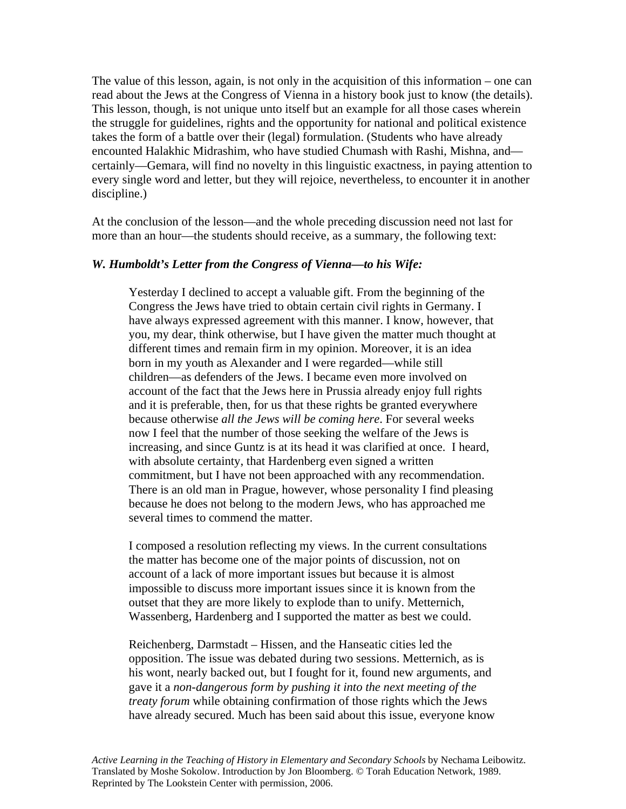The value of this lesson, again, is not only in the acquisition of this information – one can read about the Jews at the Congress of Vienna in a history book just to know (the details). This lesson, though, is not unique unto itself but an example for all those cases wherein the struggle for guidelines, rights and the opportunity for national and political existence takes the form of a battle over their (legal) formulation. (Students who have already encounted Halakhic Midrashim, who have studied Chumash with Rashi, Mishna, and certainly—Gemara, will find no novelty in this linguistic exactness, in paying attention to every single word and letter, but they will rejoice, nevertheless, to encounter it in another discipline.)

At the conclusion of the lesson—and the whole preceding discussion need not last for more than an hour—the students should receive, as a summary, the following text:

### *W. Humboldt's Letter from the Congress of Vienna—to his Wife:*

Yesterday I declined to accept a valuable gift. From the beginning of the Congress the Jews have tried to obtain certain civil rights in Germany. I have always expressed agreement with this manner. I know, however, that you, my dear, think otherwise, but I have given the matter much thought at different times and remain firm in my opinion. Moreover, it is an idea born in my youth as Alexander and I were regarded—while still children—as defenders of the Jews. I became even more involved on account of the fact that the Jews here in Prussia already enjoy full rights and it is preferable, then, for us that these rights be granted everywhere because otherwise *all the Jews will be coming here*. For several weeks now I feel that the number of those seeking the welfare of the Jews is increasing, and since Guntz is at its head it was clarified at once. I heard, with absolute certainty, that Hardenberg even signed a written commitment, but I have not been approached with any recommendation. There is an old man in Prague, however, whose personality I find pleasing because he does not belong to the modern Jews, who has approached me several times to commend the matter.

I composed a resolution reflecting my views. In the current consultations the matter has become one of the major points of discussion, not on account of a lack of more important issues but because it is almost impossible to discuss more important issues since it is known from the outset that they are more likely to explode than to unify. Metternich, Wassenberg, Hardenberg and I supported the matter as best we could.

Reichenberg, Darmstadt – Hissen, and the Hanseatic cities led the opposition. The issue was debated during two sessions. Metternich, as is his wont, nearly backed out, but I fought for it, found new arguments, and gave it a *non-dangerous form by pushing it into the next meeting of the treaty forum* while obtaining confirmation of those rights which the Jews have already secured. Much has been said about this issue, everyone know